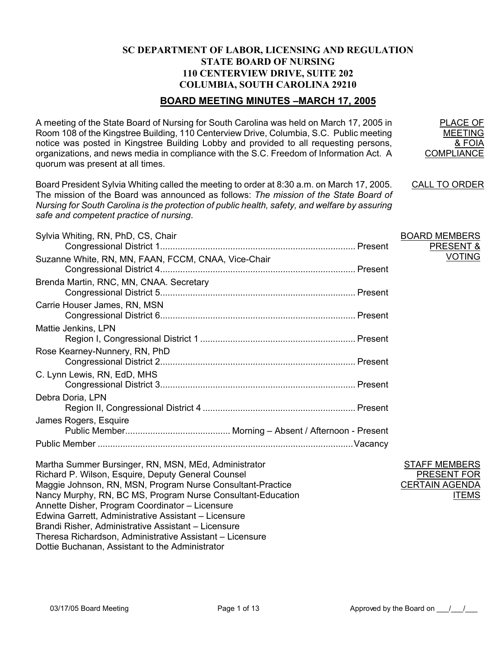# **SC DEPARTMENT OF LABOR, LICENSING AND REGULATION STATE BOARD OF NURSING 110 CENTERVIEW DRIVE, SUITE 202 COLUMBIA, SOUTH CAROLINA 29210**

# **BOARD MEETING MINUTES –MARCH 17, 2005**

A meeting of the State Board of Nursing for South Carolina was held on March 17, 2005 in Room 108 of the Kingstree Building, 110 Centerview Drive, Columbia, S.C. Public meeting notice was posted in Kingstree Building Lobby and provided to all requesting persons, organizations, and news media in compliance with the S.C. Freedom of Information Act. A quorum was present at all times.

Board President Sylvia Whiting called the meeting to order at 8:30 a.m. on March 17, 2005. The mission of the Board was announced as follows: *The mission of the State Board of Nursing for South Carolina is the protection of public health, safety, and welfare by assuring safe and competent practice of nursing*. CALL TO ORDER

| Sylvia Whiting, RN, PhD, CS, Chair                      | <b>BOARD MEMBERS</b> |
|---------------------------------------------------------|----------------------|
|                                                         | PRESENT &            |
| Suzanne White, RN, MN, FAAN, FCCM, CNAA, Vice-Chair     | <b>VOTING</b>        |
|                                                         |                      |
| Brenda Martin, RNC, MN, CNAA. Secretary                 |                      |
|                                                         |                      |
| Carrie Houser James, RN, MSN                            |                      |
|                                                         |                      |
| Mattie Jenkins, LPN                                     |                      |
|                                                         |                      |
| Rose Kearney-Nunnery, RN, PhD                           |                      |
|                                                         |                      |
| C. Lynn Lewis, RN, EdD, MHS                             |                      |
|                                                         |                      |
| Debra Doria, LPN                                        |                      |
|                                                         |                      |
| James Rogers, Esquire                                   |                      |
|                                                         |                      |
|                                                         |                      |
|                                                         |                      |
| Martha Summer Bursinger, RN, MSN, MEd, Administrator    | <b>STAFF MEMBERS</b> |
| Richard P. Wilson, Esquire, Deputy General Counsel      | PRESENT FOR          |
| Maggio Johnson DN MCN Drogram Nurso Consultant Drastico | CEDTAIN ACENDA       |

Maggie Johnson, RN, MSN, Program Nurse Consultant-Practice Nancy Murphy, RN, BC MS, Program Nurse Consultant-Education Annette Disher, Program Coordinator – Licensure Edwina Garrett, Administrative Assistant – Licensure Brandi Risher, Administrative Assistant – Licensure Theresa Richardson, Administrative Assistant – Licensure Dottie Buchanan, Assistant to the Administrator

STAFF MEMBERS PRESENT FOR **CERTAIN ITEMS** 

**PLACE OF** MEETING & FOIA

**COMPLIAN**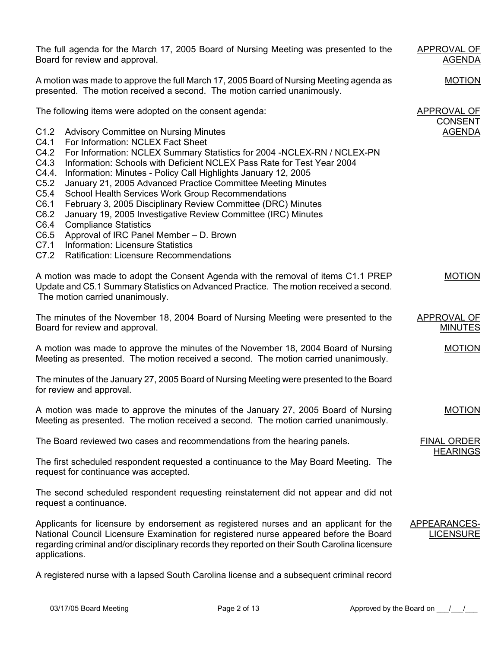| The full agenda for the March 17, 2005 Board of Nursing Meeting was presented to the<br>Board for review and approval.                                                                                                                                                                                                                                                                                                                                                                                                                                                                                                                                                                                                                                                                                                                            | <b>APPROVAL OF</b><br><b>AGENDA</b>   |
|---------------------------------------------------------------------------------------------------------------------------------------------------------------------------------------------------------------------------------------------------------------------------------------------------------------------------------------------------------------------------------------------------------------------------------------------------------------------------------------------------------------------------------------------------------------------------------------------------------------------------------------------------------------------------------------------------------------------------------------------------------------------------------------------------------------------------------------------------|---------------------------------------|
| A motion was made to approve the full March 17, 2005 Board of Nursing Meeting agenda as<br>presented. The motion received a second. The motion carried unanimously.                                                                                                                                                                                                                                                                                                                                                                                                                                                                                                                                                                                                                                                                               | <b>MOTION</b>                         |
| The following items were adopted on the consent agenda:                                                                                                                                                                                                                                                                                                                                                                                                                                                                                                                                                                                                                                                                                                                                                                                           | <b>APPROVAL OF</b><br><b>CONSENT</b>  |
| C1.2<br><b>Advisory Committee on Nursing Minutes</b><br>C4.1<br>For Information: NCLEX Fact Sheet<br>C4.2<br>For Information: NCLEX Summary Statistics for 2004 - NCLEX-RN / NCLEX-PN<br>C4.3<br>Information: Schools with Deficient NCLEX Pass Rate for Test Year 2004<br>C4.4.<br>Information: Minutes - Policy Call Highlights January 12, 2005<br>C5.2<br>January 21, 2005 Advanced Practice Committee Meeting Minutes<br>C5.4<br>School Health Services Work Group Recommendations<br>C6.1<br>February 3, 2005 Disciplinary Review Committee (DRC) Minutes<br>C6.2<br>January 19, 2005 Investigative Review Committee (IRC) Minutes<br>C6.4<br><b>Compliance Statistics</b><br>C6.5<br>Approval of IRC Panel Member - D. Brown<br>C7.1<br><b>Information: Licensure Statistics</b><br>C7.2<br><b>Ratification: Licensure Recommendations</b> | <b>AGENDA</b>                         |
| A motion was made to adopt the Consent Agenda with the removal of items C1.1 PREP<br>Update and C5.1 Summary Statistics on Advanced Practice. The motion received a second.<br>The motion carried unanimously.                                                                                                                                                                                                                                                                                                                                                                                                                                                                                                                                                                                                                                    | <b>MOTION</b>                         |
| The minutes of the November 18, 2004 Board of Nursing Meeting were presented to the<br>Board for review and approval.                                                                                                                                                                                                                                                                                                                                                                                                                                                                                                                                                                                                                                                                                                                             | <b>APPROVAL OF</b><br><b>MINUTES</b>  |
| A motion was made to approve the minutes of the November 18, 2004 Board of Nursing<br>Meeting as presented. The motion received a second. The motion carried unanimously.                                                                                                                                                                                                                                                                                                                                                                                                                                                                                                                                                                                                                                                                         | <b>MOTION</b>                         |
| The minutes of the January 27, 2005 Board of Nursing Meeting were presented to the Board<br>for review and approval.                                                                                                                                                                                                                                                                                                                                                                                                                                                                                                                                                                                                                                                                                                                              |                                       |
| A motion was made to approve the minutes of the January 27, 2005 Board of Nursing<br>Meeting as presented. The motion received a second. The motion carried unanimously.                                                                                                                                                                                                                                                                                                                                                                                                                                                                                                                                                                                                                                                                          | <b>MOTION</b>                         |
| The Board reviewed two cases and recommendations from the hearing panels.                                                                                                                                                                                                                                                                                                                                                                                                                                                                                                                                                                                                                                                                                                                                                                         | <b>FINAL ORDER</b><br><b>HEARINGS</b> |
| The first scheduled respondent requested a continuance to the May Board Meeting. The<br>request for continuance was accepted.                                                                                                                                                                                                                                                                                                                                                                                                                                                                                                                                                                                                                                                                                                                     |                                       |
| The second scheduled respondent requesting reinstatement did not appear and did not<br>request a continuance.                                                                                                                                                                                                                                                                                                                                                                                                                                                                                                                                                                                                                                                                                                                                     |                                       |
| Applicants for licensure by endorsement as registered nurses and an applicant for the<br>National Council Licensure Examination for registered nurse appeared before the Board<br>regarding criminal and/or disciplinary records they reported on their South Carolina licensure<br>applications.                                                                                                                                                                                                                                                                                                                                                                                                                                                                                                                                                 | APPEARANCES-<br><b>LICENSURE</b>      |

A registered nurse with a lapsed South Carolina license and a subsequent criminal record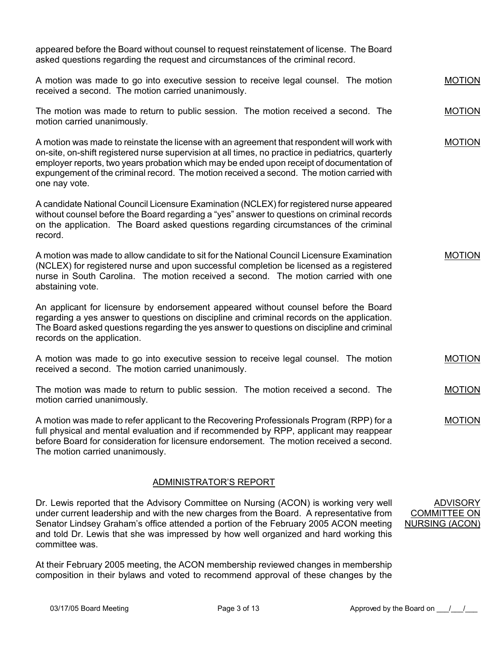appeared before the Board without counsel to request reinstatement of license. The Board asked questions regarding the request and circumstances of the criminal record.

A motion was made to go into executive session to receive legal counsel. The motion received a second. The motion carried unanimously. MOTION

The motion was made to return to public session. The motion received a second. The motion carried unanimously.

A motion was made to reinstate the license with an agreement that respondent will work with on-site, on-shift registered nurse supervision at all times, no practice in pediatrics, quarterly employer reports, two years probation which may be ended upon receipt of documentation of expungement of the criminal record. The motion received a second. The motion carried with one nay vote.

A candidate National Council Licensure Examination (NCLEX) for registered nurse appeared without counsel before the Board regarding a "yes" answer to questions on criminal records on the application. The Board asked questions regarding circumstances of the criminal record.

A motion was made to allow candidate to sit for the National Council Licensure Examination (NCLEX) for registered nurse and upon successful completion be licensed as a registered nurse in South Carolina. The motion received a second. The motion carried with one abstaining vote. MOTION

An applicant for licensure by endorsement appeared without counsel before the Board regarding a yes answer to questions on discipline and criminal records on the application. The Board asked questions regarding the yes answer to questions on discipline and criminal records on the application.

A motion was made to go into executive session to receive legal counsel. The motion received a second. The motion carried unanimously. MOTION

The motion was made to return to public session. The motion received a second. The motion carried unanimously. MOTION

A motion was made to refer applicant to the Recovering Professionals Program (RPP) for a full physical and mental evaluation and if recommended by RPP, applicant may reappear before Board for consideration for licensure endorsement. The motion received a second. The motion carried unanimously.

#### ADMINISTRATOR'S REPORT

Dr. Lewis reported that the Advisory Committee on Nursing (ACON) is working very well under current leadership and with the new charges from the Board. A representative from Senator Lindsey Graham's office attended a portion of the February 2005 ACON meeting and told Dr. Lewis that she was impressed by how well organized and hard working this committee was.

At their February 2005 meeting, the ACON membership reviewed changes in membership composition in their bylaws and voted to recommend approval of these changes by the

ADVISORY COMMITTEE ON NURSING (ACON)

MOTION

MOTION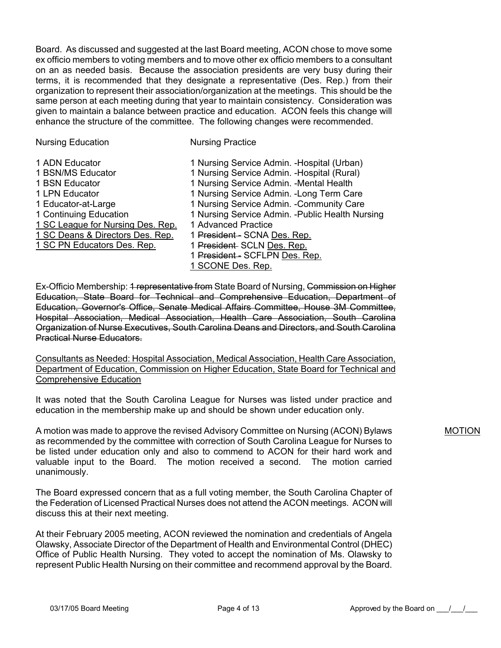Board. As discussed and suggested at the last Board meeting, ACON chose to move some ex officio members to voting members and to move other ex officio members to a consultant on an as needed basis. Because the association presidents are very busy during their terms, it is recommended that they designate a representative (Des. Rep.) from their organization to represent their association/organization at the meetings. This should be the same person at each meeting during that year to maintain consistency. Consideration was given to maintain a balance between practice and education. ACON feels this change will enhance the structure of the committee. The following changes were recommended.

| 1 ADN Educator                    | 1 Nursing Service Admin. - Hospital (Urban)      |
|-----------------------------------|--------------------------------------------------|
| 1 BSN/MS Educator                 | 1 Nursing Service Admin. - Hospital (Rural)      |
| 1 BSN Educator                    | 1 Nursing Service Admin. - Mental Health         |
| 1 LPN Educator                    | 1 Nursing Service Admin. - Long Term Care        |
| 1 Educator-at-Large               | 1 Nursing Service Admin. - Community Care        |
| 1 Continuing Education            | 1 Nursing Service Admin. - Public Health Nursing |
| 1 SC League for Nursing Des. Rep. | 1 Advanced Practice                              |
| 1 SC Deans & Directors Des. Rep.  | 1 President - SCNA Des. Rep.                     |
| 1 SC PN Educators Des. Rep.       | 1 President-SCLN Des. Rep.                       |
|                                   | 1 President - SCFLPN Des. Rep.                   |
|                                   | 1 SCONE Des. Rep.                                |

Nursing Education **Nursing Practice** 

Ex-Officio Membership: 4 representative from State Board of Nursing, Commission on Higher Education, State Board for Technical and Comprehensive Education, Department of Education, Governor's Office, Senate Medical Affairs Committee, House 3M Committee, Hospital Association, Medical Association, Health Care Association, South Carolina Organization of Nurse Executives, South Carolina Deans and Directors, and South Carolina Practical Nurse Educators.

Consultants as Needed: Hospital Association, Medical Association, Health Care Association, Department of Education, Commission on Higher Education, State Board for Technical and Comprehensive Education

It was noted that the South Carolina League for Nurses was listed under practice and education in the membership make up and should be shown under education only.

A motion was made to approve the revised Advisory Committee on Nursing (ACON) Bylaws as recommended by the committee with correction of South Carolina League for Nurses to be listed under education only and also to commend to ACON for their hard work and valuable input to the Board. The motion received a second. The motion carried unanimously.

The Board expressed concern that as a full voting member, the South Carolina Chapter of the Federation of Licensed Practical Nurses does not attend the ACON meetings. ACON will discuss this at their next meeting.

At their February 2005 meeting, ACON reviewed the nomination and credentials of Angela Olawsky, Associate Director of the Department of Health and Environmental Control (DHEC) Office of Public Health Nursing. They voted to accept the nomination of Ms. Olawsky to represent Public Health Nursing on their committee and recommend approval by the Board.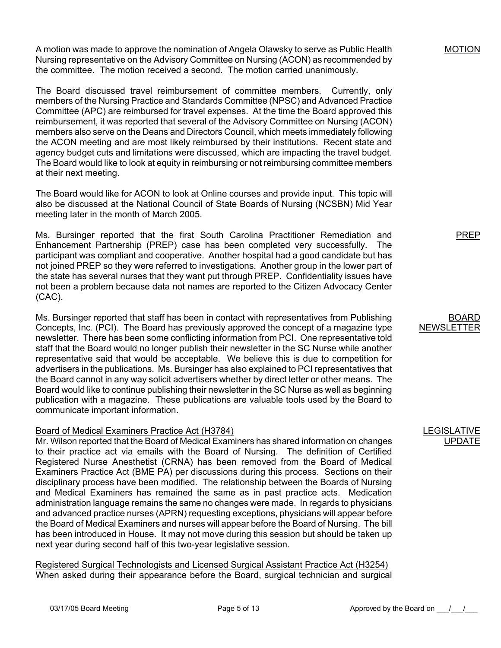A motion was made to approve the nomination of Angela Olawsky to serve as Public Health Nursing representative on the Advisory Committee on Nursing (ACON) as recommended by the committee. The motion received a second. The motion carried unanimously.

The Board discussed travel reimbursement of committee members. Currently, only members of the Nursing Practice and Standards Committee (NPSC) and Advanced Practice Committee (APC) are reimbursed for travel expenses. At the time the Board approved this reimbursement, it was reported that several of the Advisory Committee on Nursing (ACON) members also serve on the Deans and Directors Council, which meets immediately following the ACON meeting and are most likely reimbursed by their institutions. Recent state and agency budget cuts and limitations were discussed, which are impacting the travel budget. The Board would like to look at equity in reimbursing or not reimbursing committee members at their next meeting.

The Board would like for ACON to look at Online courses and provide input. This topic will also be discussed at the National Council of State Boards of Nursing (NCSBN) Mid Year meeting later in the month of March 2005.

Ms. Bursinger reported that the first South Carolina Practitioner Remediation and Enhancement Partnership (PREP) case has been completed very successfully. The participant was compliant and cooperative. Another hospital had a good candidate but has not joined PREP so they were referred to investigations. Another group in the lower part of the state has several nurses that they want put through PREP. Confidentiality issues have not been a problem because data not names are reported to the Citizen Advocacy Center (CAC).

Ms. Bursinger reported that staff has been in contact with representatives from Publishing Concepts, Inc. (PCI). The Board has previously approved the concept of a magazine type newsletter. There has been some conflicting information from PCI. One representative told staff that the Board would no longer publish their newsletter in the SC Nurse while another representative said that would be acceptable. We believe this is due to competition for advertisers in the publications. Ms. Bursinger has also explained to PCI representatives that the Board cannot in any way solicit advertisers whether by direct letter or other means. The Board would like to continue publishing their newsletter in the SC Nurse as well as beginning publication with a magazine. These publications are valuable tools used by the Board to communicate important information.

#### Board of Medical Examiners Practice Act (H3784)

Mr. Wilson reported that the Board of Medical Examiners has shared information on changes to their practice act via emails with the Board of Nursing. The definition of Certified Registered Nurse Anesthetist (CRNA) has been removed from the Board of Medical Examiners Practice Act (BME PA) per discussions during this process. Sections on their disciplinary process have been modified. The relationship between the Boards of Nursing and Medical Examiners has remained the same as in past practice acts. Medication administration language remains the same no changes were made. In regards to physicians and advanced practice nurses (APRN) requesting exceptions, physicians will appear before the Board of Medical Examiners and nurses will appear before the Board of Nursing. The bill has been introduced in House. It may not move during this session but should be taken up next year during second half of this two-year legislative session.

Registered Surgical Technologists and Licensed Surgical Assistant Practice Act (H3254) When asked during their appearance before the Board, surgical technician and surgical PREP

MOTION

### BOARD NEWSLETTER

LEGISLATIVE UPDATE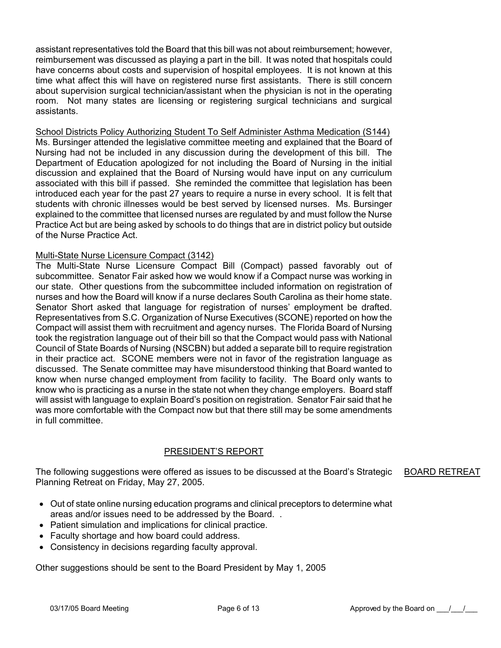assistant representatives told the Board that this bill was not about reimbursement; however, reimbursement was discussed as playing a part in the bill. It was noted that hospitals could have concerns about costs and supervision of hospital employees. It is not known at this time what affect this will have on registered nurse first assistants. There is still concern about supervision surgical technician/assistant when the physician is not in the operating room. Not many states are licensing or registering surgical technicians and surgical assistants.

School Districts Policy Authorizing Student To Self Administer Asthma Medication (S144) Ms. Bursinger attended the legislative committee meeting and explained that the Board of Nursing had not be included in any discussion during the development of this bill. The Department of Education apologized for not including the Board of Nursing in the initial discussion and explained that the Board of Nursing would have input on any curriculum associated with this bill if passed. She reminded the committee that legislation has been introduced each year for the past 27 years to require a nurse in every school. It is felt that students with chronic illnesses would be best served by licensed nurses. Ms. Bursinger explained to the committee that licensed nurses are regulated by and must follow the Nurse Practice Act but are being asked by schools to do things that are in district policy but outside of the Nurse Practice Act.

## Multi-State Nurse Licensure Compact (3142)

The Multi-State Nurse Licensure Compact Bill (Compact) passed favorably out of subcommittee. Senator Fair asked how we would know if a Compact nurse was working in our state. Other questions from the subcommittee included information on registration of nurses and how the Board will know if a nurse declares South Carolina as their home state. Senator Short asked that language for registration of nurses' employment be drafted. Representatives from S.C. Organization of Nurse Executives (SCONE) reported on how the Compact will assist them with recruitment and agency nurses. The Florida Board of Nursing took the registration language out of their bill so that the Compact would pass with National Council of State Boards of Nursing (NSCBN) but added a separate bill to require registration in their practice act. SCONE members were not in favor of the registration language as discussed. The Senate committee may have misunderstood thinking that Board wanted to know when nurse changed employment from facility to facility. The Board only wants to know who is practicing as a nurse in the state not when they change employers. Board staff will assist with language to explain Board's position on registration. Senator Fair said that he was more comfortable with the Compact now but that there still may be some amendments in full committee.

# PRESIDENT'S REPORT

The following suggestions were offered as issues to be discussed at the Board's Strategic Planning Retreat on Friday, May 27, 2005. BOARD RETREAT

- Out of state online nursing education programs and clinical preceptors to determine what areas and/or issues need to be addressed by the Board. .
- Patient simulation and implications for clinical practice.
- Faculty shortage and how board could address.
- Consistency in decisions regarding faculty approval.

Other suggestions should be sent to the Board President by May 1, 2005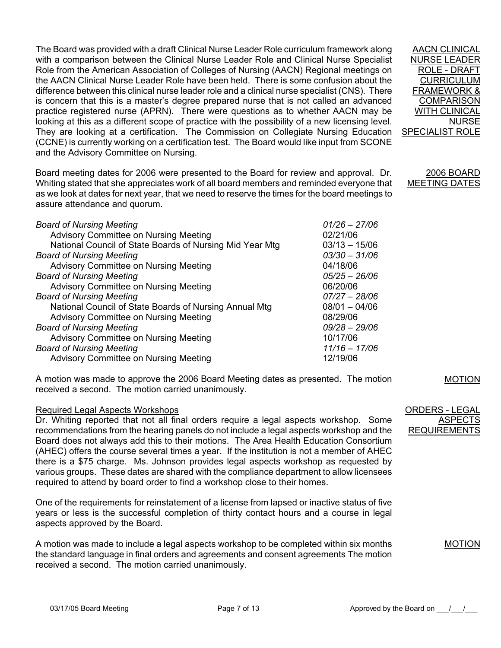The Board was provided with a draft Clinical Nurse Leader Role curriculum framework along with a comparison between the Clinical Nurse Leader Role and Clinical Nurse Specialist Role from the American Association of Colleges of Nursing (AACN) Regional meetings on the AACN Clinical Nurse Leader Role have been held. There is some confusion about the difference between this clinical nurse leader role and a clinical nurse specialist (CNS). There is concern that this is a master's degree prepared nurse that is not called an advanced practice registered nurse (APRN). There were questions as to whether AACN may be looking at this as a different scope of practice with the possibility of a new licensing level. They are looking at a certification. The Commission on Collegiate Nursing Education (CCNE) is currently working on a certification test. The Board would like input from SCONE and the Advisory Committee on Nursing.

Board meeting dates for 2006 were presented to the Board for review and approval. Dr. Whiting stated that she appreciates work of all board members and reminded everyone that as we look at dates for next year, that we need to reserve the times for the board meetings to assure attendance and quorum.

| <b>Board of Nursing Meeting</b>                          | $01/26 - 27/06$ |
|----------------------------------------------------------|-----------------|
| <b>Advisory Committee on Nursing Meeting</b>             | 02/21/06        |
| National Council of State Boards of Nursing Mid Year Mtg | $03/13 - 15/06$ |
| <b>Board of Nursing Meeting</b>                          | $03/30 - 31/06$ |
| <b>Advisory Committee on Nursing Meeting</b>             | 04/18/06        |
| <b>Board of Nursing Meeting</b>                          | $05/25 - 26/06$ |
| <b>Advisory Committee on Nursing Meeting</b>             | 06/20/06        |
| <b>Board of Nursing Meeting</b>                          | $07/27 - 28/06$ |
| National Council of State Boards of Nursing Annual Mtg   | $08/01 - 04/06$ |
| Advisory Committee on Nursing Meeting                    | 08/29/06        |
| <b>Board of Nursing Meeting</b>                          | $09/28 - 29/06$ |
| <b>Advisory Committee on Nursing Meeting</b>             | 10/17/06        |
| <b>Board of Nursing Meeting</b>                          | $11/16 - 17/06$ |
| <b>Advisory Committee on Nursing Meeting</b>             | 12/19/06        |

A motion was made to approve the 2006 Board Meeting dates as presented. The motion received a second. The motion carried unanimously.

#### Required Legal Aspects Workshops

Dr. Whiting reported that not all final orders require a legal aspects workshop. Some recommendations from the hearing panels do not include a legal aspects workshop and the Board does not always add this to their motions. The Area Health Education Consortium (AHEC) offers the course several times a year. If the institution is not a member of AHEC there is a \$75 charge. Ms. Johnson provides legal aspects workshop as requested by various groups. These dates are shared with the compliance department to allow licensees required to attend by board order to find a workshop close to their homes.

One of the requirements for reinstatement of a license from lapsed or inactive status of five years or less is the successful completion of thirty contact hours and a course in legal aspects approved by the Board.

A motion was made to include a legal aspects workshop to be completed within six months the standard language in final orders and agreements and consent agreements The motion received a second. The motion carried unanimously.

AACN CLINICAL NURSE LEADER ROLE - DRAFT CURRICULUM FRAMEWORK & **COMPARISON** WITH CLINICAL NURSE SPECIALIST ROLE

2006 BOARD MEETING DATES

MOTION

#### ORDERS - LEGAL ASPE **REQUIREMENT**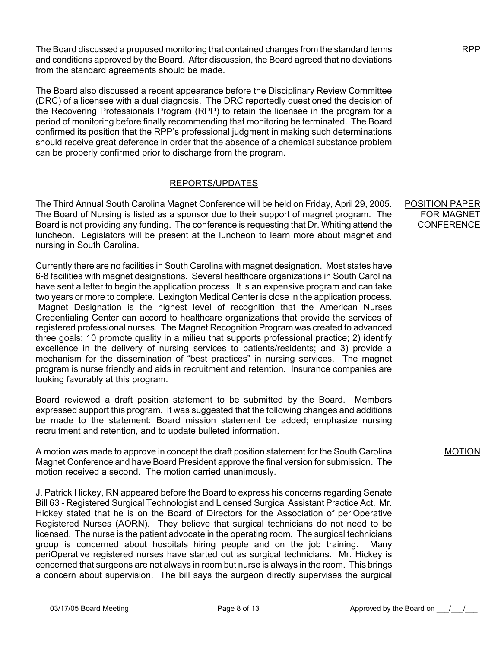The Board discussed a proposed monitoring that contained changes from the standard terms and conditions approved by the Board. After discussion, the Board agreed that no deviations from the standard agreements should be made.

The Board also discussed a recent appearance before the Disciplinary Review Committee (DRC) of a licensee with a dual diagnosis. The DRC reportedly questioned the decision of the Recovering Professionals Program (RPP) to retain the licensee in the program for a period of monitoring before finally recommending that monitoring be terminated. The Board confirmed its position that the RPP's professional judgment in making such determinations should receive great deference in order that the absence of a chemical substance problem can be properly confirmed prior to discharge from the program.

## REPORTS/UPDATES

The Third Annual South Carolina Magnet Conference will be held on Friday, April 29, 2005. The Board of Nursing is listed as a sponsor due to their support of magnet program. The Board is not providing any funding. The conference is requesting that Dr. Whiting attend the luncheon. Legislators will be present at the luncheon to learn more about magnet and nursing in South Carolina.

Currently there are no facilities in South Carolina with magnet designation. Most states have 6-8 facilities with magnet designations. Several healthcare organizations in South Carolina have sent a letter to begin the application process. It is an expensive program and can take two years or more to complete. Lexington Medical Center is close in the application process. Magnet Designation is the highest level of recognition that the American Nurses Credentialing Center can accord to healthcare organizations that provide the services of registered professional nurses. The Magnet Recognition Program was created to advanced three goals: 10 promote quality in a milieu that supports professional practice; 2) identify excellence in the delivery of nursing services to patients/residents; and 3) provide a mechanism for the dissemination of "best practices" in nursing services. The magnet program is nurse friendly and aids in recruitment and retention. Insurance companies are looking favorably at this program.

Board reviewed a draft position statement to be submitted by the Board. Members expressed support this program. It was suggested that the following changes and additions be made to the statement: Board mission statement be added; emphasize nursing recruitment and retention, and to update bulleted information.

A motion was made to approve in concept the draft position statement for the South Carolina Magnet Conference and have Board President approve the final version for submission. The motion received a second. The motion carried unanimously.

J. Patrick Hickey, RN appeared before the Board to express his concerns regarding Senate Bill 63 - Registered Surgical Technologist and Licensed Surgical Assistant Practice Act. Mr. Hickey stated that he is on the Board of Directors for the Association of periOperative Registered Nurses (AORN). They believe that surgical technicians do not need to be licensed. The nurse is the patient advocate in the operating room. The surgical technicians group is concerned about hospitals hiring people and on the job training. Many periOperative registered nurses have started out as surgical technicians. Mr. Hickey is concerned that surgeons are not always in room but nurse is always in the room. This brings a concern about supervision. The bill says the surgeon directly supervises the surgical

POSITION PAPER **FOR MAGNI CONFERENCE**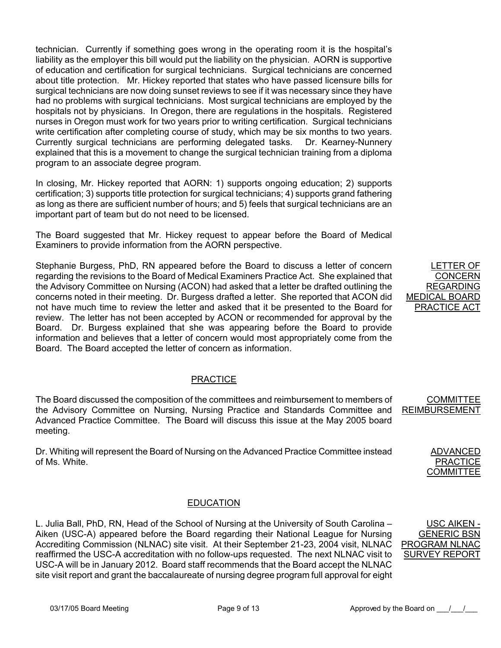technician. Currently if something goes wrong in the operating room it is the hospital's liability as the employer this bill would put the liability on the physician. AORN is supportive of education and certification for surgical technicians. Surgical technicians are concerned about title protection. Mr. Hickey reported that states who have passed licensure bills for surgical technicians are now doing sunset reviews to see if it was necessary since they have had no problems with surgical technicians. Most surgical technicians are employed by the hospitals not by physicians. In Oregon, there are regulations in the hospitals. Registered nurses in Oregon must work for two years prior to writing certification. Surgical technicians write certification after completing course of study, which may be six months to two years. Currently surgical technicians are performing delegated tasks. Dr. Kearney-Nunnery explained that this is a movement to change the surgical technician training from a diploma program to an associate degree program.

In closing, Mr. Hickey reported that AORN: 1) supports ongoing education; 2) supports certification; 3) supports title protection for surgical technicians; 4) supports grand fathering as long as there are sufficient number of hours; and 5) feels that surgical technicians are an important part of team but do not need to be licensed.

The Board suggested that Mr. Hickey request to appear before the Board of Medical Examiners to provide information from the AORN perspective.

Stephanie Burgess, PhD, RN appeared before the Board to discuss a letter of concern regarding the revisions to the Board of Medical Examiners Practice Act. She explained that the Advisory Committee on Nursing (ACON) had asked that a letter be drafted outlining the concerns noted in their meeting. Dr. Burgess drafted a letter. She reported that ACON did not have much time to review the letter and asked that it be presented to the Board for review. The letter has not been accepted by ACON or recommended for approval by the Board. Dr. Burgess explained that she was appearing before the Board to provide information and believes that a letter of concern would most appropriately come from the Board. The Board accepted the letter of concern as information.

# **PRACTICE**

The Board discussed the composition of the committees and reimbursement to members of the Advisory Committee on Nursing, Nursing Practice and Standards Committee and Advanced Practice Committee. The Board will discuss this issue at the May 2005 board meeting. REIMBURSEMENT

Dr. Whiting will represent the Board of Nursing on the Advanced Practice Committee instead of Ms. White.

#### EDUCATION

L. Julia Ball, PhD, RN, Head of the School of Nursing at the University of South Carolina – Aiken (USC-A) appeared before the Board regarding their National League for Nursing Accrediting Commission (NLNAC) site visit. At their September 21-23, 2004 visit, NLNAC reaffirmed the USC-A accreditation with no follow-ups requested. The next NLNAC visit to USC-A will be in January 2012. Board staff recommends that the Board accept the NLNAC site visit report and grant the baccalaureate of nursing degree program full approval for eight



LETTER OF **CONCERN** REGARDING MEDICAL BOARD PRACTICE ACT

> ADVANCED PRACTICE **COMMITTEE**

USC AIKEN - GENERIC BSN PROGRAM NLNAC SURVEY REPORT

**COMMITTEE**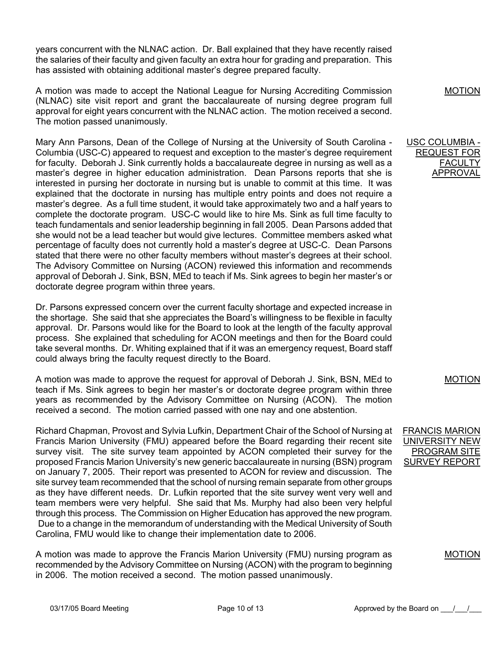years concurrent with the NLNAC action. Dr. Ball explained that they have recently raised the salaries of their faculty and given faculty an extra hour for grading and preparation. This has assisted with obtaining additional master's degree prepared faculty.

A motion was made to accept the National League for Nursing Accrediting Commission (NLNAC) site visit report and grant the baccalaureate of nursing degree program full approval for eight years concurrent with the NLNAC action. The motion received a second. The motion passed unanimously.

Mary Ann Parsons, Dean of the College of Nursing at the University of South Carolina - Columbia (USC-C) appeared to request and exception to the master's degree requirement for faculty. Deborah J. Sink currently holds a baccalaureate degree in nursing as well as a master's degree in higher education administration. Dean Parsons reports that she is interested in pursing her doctorate in nursing but is unable to commit at this time. It was explained that the doctorate in nursing has multiple entry points and does not require a master's degree. As a full time student, it would take approximately two and a half years to complete the doctorate program. USC-C would like to hire Ms. Sink as full time faculty to teach fundamentals and senior leadership beginning in fall 2005. Dean Parsons added that she would not be a lead teacher but would give lectures. Committee members asked what percentage of faculty does not currently hold a master's degree at USC-C. Dean Parsons stated that there were no other faculty members without master's degrees at their school. The Advisory Committee on Nursing (ACON) reviewed this information and recommends approval of Deborah J. Sink, BSN, MEd to teach if Ms. Sink agrees to begin her master's or doctorate degree program within three years.

Dr. Parsons expressed concern over the current faculty shortage and expected increase in the shortage. She said that she appreciates the Board's willingness to be flexible in faculty approval. Dr. Parsons would like for the Board to look at the length of the faculty approval process. She explained that scheduling for ACON meetings and then for the Board could take several months. Dr. Whiting explained that if it was an emergency request, Board staff could always bring the faculty request directly to the Board.

A motion was made to approve the request for approval of Deborah J. Sink, BSN, MEd to teach if Ms. Sink agrees to begin her master's or doctorate degree program within three years as recommended by the Advisory Committee on Nursing (ACON). The motion received a second. The motion carried passed with one nay and one abstention.

Richard Chapman, Provost and Sylvia Lufkin, Department Chair of the School of Nursing at Francis Marion University (FMU) appeared before the Board regarding their recent site survey visit. The site survey team appointed by ACON completed their survey for the proposed Francis Marion University's new generic baccalaureate in nursing (BSN) program on January 7, 2005. Their report was presented to ACON for review and discussion. The site survey team recommended that the school of nursing remain separate from other groups as they have different needs. Dr. Lufkin reported that the site survey went very well and team members were very helpful. She said that Ms. Murphy had also been very helpful through this process. The Commission on Higher Education has approved the new program. Due to a change in the memorandum of understanding with the Medical University of South Carolina, FMU would like to change their implementation date to 2006.

A motion was made to approve the Francis Marion University (FMU) nursing program as recommended by the Advisory Committee on Nursing (ACON) with the program to beginning in 2006. The motion received a second. The motion passed unanimously.

MOTION

USC COLUMBIA - REQUEST FOR **FACU APPROV** 

MOTION

FRANCIS MARION UNIVERSITY NEW PROGRAM SITE SURVEY REPORT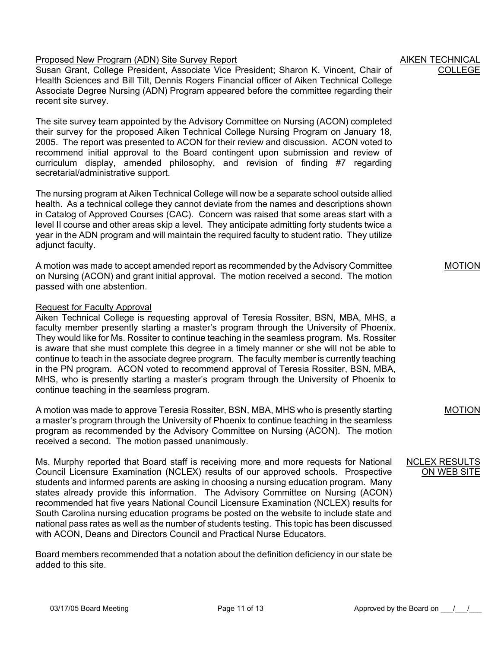### Proposed New Program (ADN) Site Survey Report

Susan Grant, College President, Associate Vice President; Sharon K. Vincent, Chair of Health Sciences and Bill Tilt, Dennis Rogers Financial officer of Aiken Technical College Associate Degree Nursing (ADN) Program appeared before the committee regarding their recent site survey.

The site survey team appointed by the Advisory Committee on Nursing (ACON) completed their survey for the proposed Aiken Technical College Nursing Program on January 18, 2005. The report was presented to ACON for their review and discussion. ACON voted to recommend initial approval to the Board contingent upon submission and review of curriculum display, amended philosophy, and revision of finding #7 regarding secretarial/administrative support.

The nursing program at Aiken Technical College will now be a separate school outside allied health. As a technical college they cannot deviate from the names and descriptions shown in Catalog of Approved Courses (CAC). Concern was raised that some areas start with a level II course and other areas skip a level. They anticipate admitting forty students twice a year in the ADN program and will maintain the required faculty to student ratio. They utilize adjunct faculty.

A motion was made to accept amended report as recommended by the Advisory Committee on Nursing (ACON) and grant initial approval. The motion received a second. The motion passed with one abstention.

#### Request for Faculty Approval

Aiken Technical College is requesting approval of Teresia Rossiter, BSN, MBA, MHS, a faculty member presently starting a master's program through the University of Phoenix. They would like for Ms. Rossiter to continue teaching in the seamless program. Ms. Rossiter is aware that she must complete this degree in a timely manner or she will not be able to continue to teach in the associate degree program. The faculty member is currently teaching in the PN program. ACON voted to recommend approval of Teresia Rossiter, BSN, MBA, MHS, who is presently starting a master's program through the University of Phoenix to continue teaching in the seamless program.

A motion was made to approve Teresia Rossiter, BSN, MBA, MHS who is presently starting a master's program through the University of Phoenix to continue teaching in the seamless program as recommended by the Advisory Committee on Nursing (ACON). The motion received a second. The motion passed unanimously.

Ms. Murphy reported that Board staff is receiving more and more requests for National Council Licensure Examination (NCLEX) results of our approved schools. Prospective students and informed parents are asking in choosing a nursing education program. Many states already provide this information. The Advisory Committee on Nursing (ACON) recommended hat five years National Council Licensure Examination (NCLEX) results for South Carolina nursing education programs be posted on the website to include state and national pass rates as well as the number of students testing. This topic has been discussed with ACON, Deans and Directors Council and Practical Nurse Educators.

Board members recommended that a notation about the definition deficiency in our state be added to this site.

# AIKEN TECHNIC

COLLE

MOTION

MOTION

#### NCLEX RESULTS ON WEB SITE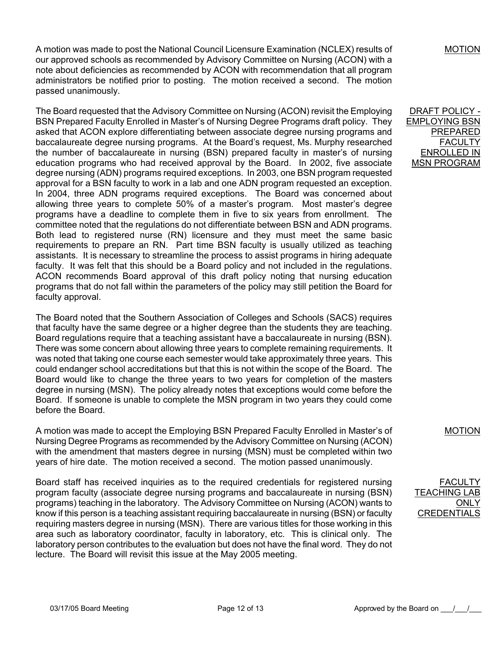A motion was made to post the National Council Licensure Examination (NCLEX) results of our approved schools as recommended by Advisory Committee on Nursing (ACON) with a note about deficiencies as recommended by ACON with recommendation that all program administrators be notified prior to posting. The motion received a second. The motion passed unanimously.

The Board requested that the Advisory Committee on Nursing (ACON) revisit the Employing BSN Prepared Faculty Enrolled in Master's of Nursing Degree Programs draft policy. They asked that ACON explore differentiating between associate degree nursing programs and baccalaureate degree nursing programs. At the Board's request, Ms. Murphy researched the number of baccalaureate in nursing (BSN) prepared faculty in master's of nursing education programs who had received approval by the Board. In 2002, five associate degree nursing (ADN) programs required exceptions. In 2003, one BSN program requested approval for a BSN faculty to work in a lab and one ADN program requested an exception. In 2004, three ADN programs required exceptions. The Board was concerned about allowing three years to complete 50% of a master's program. Most master's degree programs have a deadline to complete them in five to six years from enrollment. The committee noted that the regulations do not differentiate between BSN and ADN programs. Both lead to registered nurse (RN) licensure and they must meet the same basic requirements to prepare an RN. Part time BSN faculty is usually utilized as teaching assistants. It is necessary to streamline the process to assist programs in hiring adequate faculty. It was felt that this should be a Board policy and not included in the regulations. ACON recommends Board approval of this draft policy noting that nursing education programs that do not fall within the parameters of the policy may still petition the Board for faculty approval.

The Board noted that the Southern Association of Colleges and Schools (SACS) requires that faculty have the same degree or a higher degree than the students they are teaching. Board regulations require that a teaching assistant have a baccalaureate in nursing (BSN). There was some concern about allowing three years to complete remaining requirements. It was noted that taking one course each semester would take approximately three years. This could endanger school accreditations but that this is not within the scope of the Board. The Board would like to change the three years to two years for completion of the masters degree in nursing (MSN). The policy already notes that exceptions would come before the Board. If someone is unable to complete the MSN program in two years they could come before the Board.

A motion was made to accept the Employing BSN Prepared Faculty Enrolled in Master's of Nursing Degree Programs as recommended by the Advisory Committee on Nursing (ACON) with the amendment that masters degree in nursing (MSN) must be completed within two years of hire date. The motion received a second. The motion passed unanimously.

Board staff has received inquiries as to the required credentials for registered nursing program faculty (associate degree nursing programs and baccalaureate in nursing (BSN) programs) teaching in the laboratory. The Advisory Committee on Nursing (ACON) wants to know if this person is a teaching assistant requiring baccalaureate in nursing (BSN) or faculty requiring masters degree in nursing (MSN). There are various titles for those working in this area such as laboratory coordinator, faculty in laboratory, etc. This is clinical only. The laboratory person contributes to the evaluation but does not have the final word. They do not lecture. The Board will revisit this issue at the May 2005 meeting.

DRAFT POLICY - EMPLOYING BSN PREPARED **FACUL** ENROLLED IN MSN PROGRAM

MOTION

**FACULT TEACHING L** ONLY<sub>.</sub> **CREDENTIAL**